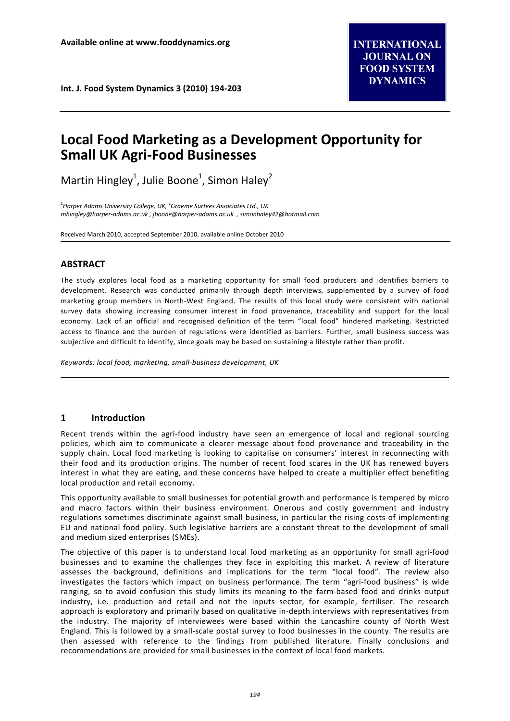# **Local Food Marketing as a Development Opportunity for Small UK Agri-Food Businesses**

Martin Hingley<sup>1</sup>, Julie Boone<sup>1</sup>, Simon Haley<sup>2</sup>

1 *Harper Adams University College, UK,* <sup>2</sup> *Graeme Surtees Associates Ltd., UK [mhingley@harper-adams.ac.uk](mailto:mhingley@harper-adams.ac.uk) [, jboone@harper-adams.ac.uk](mailto:jboone@harper-adams.ac.uk) [, simonhaley42@hotmail.com](mailto:simonhaley42@hotmail.com)* 

Received March 2010, accepted September 2010, available online October 2010

# **ABSTRACT**

The study explores local food as a marketing opportunity for small food producers and identifies barriers to development. Research was conducted primarily through depth interviews, supplemented by a survey of food marketing group members in North-West England. The results of this local study were consistent with national survey data showing increasing consumer interest in food provenance, traceability and support for the local economy. Lack of an official and recognised definition of the term "local food" hindered marketing. Restricted access to finance and the burden of regulations were identified as barriers. Further, small business success was subjective and difficult to identify, since goals may be based on sustaining a lifestyle rather than profit.

*Keywords: local food, marketing, small-business development, UK*

# **1 Introduction**

Recent trends within the agri-food industry have seen an emergence of local and regional sourcing policies, which aim to communicate a clearer message about food provenance and traceability in the supply chain. Local food marketing is looking to capitalise on consumers' interest in reconnecting with their food and its production origins. The number of recent food scares in the UK has renewed buyers interest in what they are eating, and these concerns have helped to create a multiplier effect benefiting local production and retail economy.

This opportunity available to small businesses for potential growth and performance is tempered by micro and macro factors within their business environment. Onerous and costly government and industry regulations sometimes discriminate against small business, in particular the rising costs of implementing EU and national food policy. Such legislative barriers are a constant threat to the development of small and medium sized enterprises (SMEs).

The objective of this paper is to understand local food marketing as an opportunity for small agri-food businesses and to examine the challenges they face in exploiting this market. A review of literature assesses the background, definitions and implications for the term "local food". The review also investigates the factors which impact on business performance. The term "agri-food business" is wide ranging, so to avoid confusion this study limits its meaning to the farm-based food and drinks output industry, i.e. production and retail and not the inputs sector, for example, fertiliser. The research approach is exploratory and primarily based on qualitative in-depth interviews with representatives from the industry. The majority of interviewees were based within the Lancashire county of North West England. This is followed by a small-scale postal survey to food businesses in the county. The results are then assessed with reference to the findings from published literature. Finally conclusions and recommendations are provided for small businesses in the context of local food markets.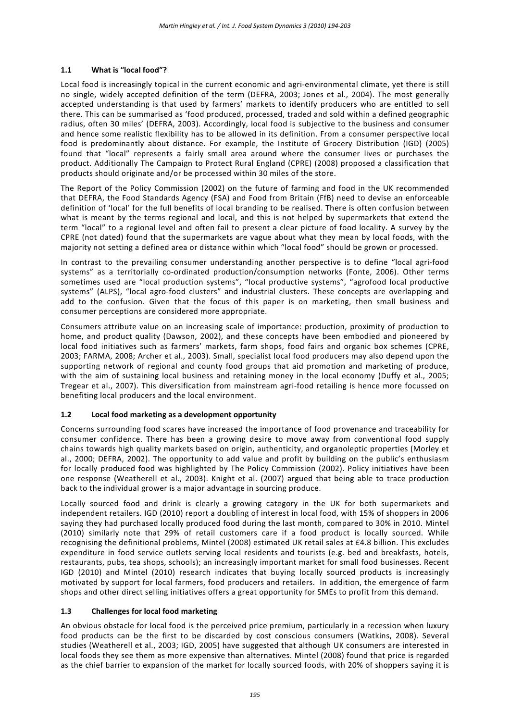# **1.1 What is "local food"?**

Local food is increasingly topical in the current economic and agri-environmental climate, yet there is still no single, widely accepted definition of the term (DEFRA, 2003; Jones et al., 2004). The most generally accepted understanding is that used by farmers' markets to identify producers who are entitled to sell there. This can be summarised as 'food produced, processed, traded and sold within a defined geographic radius, often 30 miles' (DEFRA, 2003). Accordingly, local food is subjective to the business and consumer and hence some realistic flexibility has to be allowed in its definition. From a consumer perspective local food is predominantly about distance. For example, the Institute of Grocery Distribution (IGD) (2005) found that "local" represents a fairly small area around where the consumer lives or purchases the product. Additionally The Campaign to Protect Rural England (CPRE) (2008) proposed a classification that products should originate and/or be processed within 30 miles of the store.

The Report of the Policy Commission (2002) on the future of farming and food in the UK recommended that DEFRA, the Food Standards Agency (FSA) and Food from Britain (FfB) need to devise an enforceable definition of 'local' for the full benefits of local branding to be realised. There is often confusion between what is meant by the terms regional and local, and this is not helped by supermarkets that extend the term "local" to a regional level and often fail to present a clear picture of food locality. A survey by the CPRE (not dated) found that the supermarkets are vague about what they mean by local foods, with the majority not setting a defined area or distance within which "local food" should be grown or processed.

In contrast to the prevailing consumer understanding another perspective is to define "local agri-food systems" as a territorially co-ordinated production/consumption networks (Fonte, 2006). Other terms sometimes used are "local production systems", "local productive systems", "agrofood local productive systems" (ALPS), "local agro-food clusters" and industrial clusters. These concepts are overlapping and add to the confusion. Given that the focus of this paper is on marketing, then small business and consumer perceptions are considered more appropriate.

Consumers attribute value on an increasing scale of importance: production, proximity of production to home, and product quality (Dawson, 2002), and these concepts have been embodied and pioneered by local food initiatives such as farmers' markets, farm shops, food fairs and organic box schemes (CPRE, 2003; FARMA, 2008; Archer et al., 2003). Small, specialist local food producers may also depend upon the supporting network of regional and county food groups that aid promotion and marketing of produce, with the aim of sustaining local business and retaining money in the local economy (Duffy et al., 2005; Tregear et al., 2007). This diversification from mainstream agri-food retailing is hence more focussed on benefiting local producers and the local environment.

#### **1.2 Local food marketing as a development opportunity**

Concerns surrounding food scares have increased the importance of food provenance and traceability for consumer confidence. There has been a growing desire to move away from conventional food supply chains towards high quality markets based on origin, authenticity, and organoleptic properties (Morley et al., 2000; DEFRA, 2002). The opportunity to add value and profit by building on the public's enthusiasm for locally produced food was highlighted by The Policy Commission (2002). Policy initiatives have been one response (Weatherell et al., 2003). Knight et al. (2007) argued that being able to trace production back to the individual grower is a major advantage in sourcing produce.

Locally sourced food and drink is clearly a growing category in the UK for both supermarkets and independent retailers. IGD (2010) report a doubling of interest in local food, with 15% of shoppers in 2006 saying they had purchased locally produced food during the last month, compared to 30% in 2010. Mintel (2010) similarly note that 29% of retail customers care if a food product is locally sourced. While recognising the definitional problems, Mintel (2008) estimated UK retail sales at £4.8 billion. This excludes expenditure in food service outlets serving local residents and tourists (e.g. bed and breakfasts, hotels, restaurants, pubs, tea shops, schools); an increasingly important market for small food businesses. Recent IGD (2010) and Mintel (2010) research indicates that buying locally sourced products is increasingly motivated by support for local farmers, food producers and retailers. In addition, the emergence of farm shops and other direct selling initiatives offers a great opportunity for SMEs to profit from this demand.

#### **1.3 Challenges for local food marketing**

An obvious obstacle for local food is the perceived price premium, particularly in a recession when luxury food products can be the first to be discarded by cost conscious consumers (Watkins, 2008). Several studies (Weatherell et al., 2003; IGD, 2005) have suggested that although UK consumers are interested in local foods they see them as more expensive than alternatives. Mintel (2008) found that price is regarded as the chief barrier to expansion of the market for locally sourced foods, with 20% of shoppers saying it is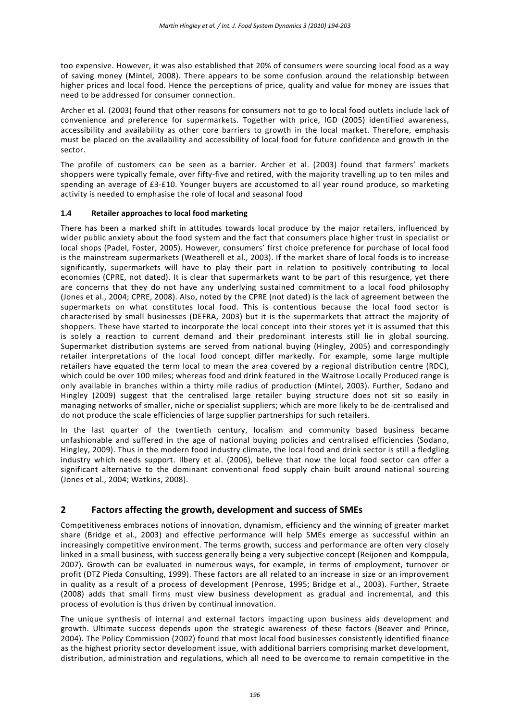too expensive. However, it was also established that 20% of consumers were sourcing local food as a way of saving money (Mintel, 2008). There appears to be some confusion around the relationship between higher prices and local food. Hence the perceptions of price, quality and value for money are issues that need to be addressed for consumer connection.

Archer et al. (2003) found that other reasons for consumers not to go to local food outlets include lack of convenience and preference for supermarkets. Together with price, IGD (2005) identified awareness, accessibility and availability as other core barriers to growth in the local market. Therefore, emphasis must be placed on the availability and accessibility of local food for future confidence and growth in the sector.

The profile of customers can be seen as a barrier. Archer et al. (2003) found that farmers' markets shoppers were typically female, over fifty-five and retired, with the majority travelling up to ten miles and spending an average of £3-£10. Younger buyers are accustomed to all year round produce, so marketing activity is needed to emphasise the role of local and seasonal food

# **1.4 Retailer approaches to local food marketing**

There has been a marked shift in attitudes towards local produce by the major retailers, influenced by wider public anxiety about the food system and the fact that consumers place higher trust in specialist or local shops (Padel, Foster, 2005). However, consumers' first choice preference for purchase of local food is the mainstream supermarkets (Weatherell et al., 2003). If the market share of local foods is to increase significantly, supermarkets will have to play their part in relation to positively contributing to local economies (CPRE, not dated). It is clear that supermarkets want to be part of this resurgence, yet there are concerns that they do not have any underlying sustained commitment to a local food philosophy (Jones et al., 2004; CPRE, 2008). Also, noted by the CPRE (not dated) is the lack of agreement between the supermarkets on what constitutes local food. This is contentious because the local food sector is characterised by small businesses (DEFRA, 2003) but it is the supermarkets that attract the majority of shoppers. These have started to incorporate the local concept into their stores yet it is assumed that this is solely a reaction to current demand and their predominant interests still lie in global sourcing. Supermarket distribution systems are served from national buying (Hingley, 2005) and correspondingly retailer interpretations of the local food concept differ markedly. For example, some large multiple retailers have equated the term local to mean the area covered by a regional distribution centre (RDC), which could be over 100 miles; whereas food and drink featured in the Waitrose Locally Produced range is only available in branches within a thirty mile radius of production (Mintel, 2003). Further, Sodano and Hingley (2009) suggest that the centralised large retailer buying structure does not sit so easily in managing networks of smaller, niche or specialist suppliers; which are more likely to be de-centralised and do not produce the scale efficiencies of large supplier partnerships for such retailers.

In the last quarter of the twentieth century, localism and community based business became unfashionable and suffered in the age of national buying policies and centralised efficiencies (Sodano, Hingley, 2009). Thus in the modern food industry climate, the local food and drink sector is still a fledgling industry which needs support. Ilbery et al. (2006), believe that now the local food sector can offer a significant alternative to the dominant conventional food supply chain built around national sourcing (Jones et al., 2004; Watkins, 2008).

# **2 Factors affecting the growth, development and success of SMEs**

Competitiveness embraces notions of innovation, dynamism, efficiency and the winning of greater market share (Bridge et al., 2003) and effective performance will help SMEs emerge as successful within an increasingly competitive environment. The terms growth, success and performance are often very closely linked in a small business, with success generally being a very subjective concept (Reijonen and Komppula, 2007). Growth can be evaluated in numerous ways, for example, in terms of employment, turnover or profit (DTZ Pieda Consulting, 1999). These factors are all related to an increase in size or an improvement in quality as a result of a process of development (Penrose, 1995; Bridge et al., 2003). Further, Straete (2008) adds that small firms must view business development as gradual and incremental, and this process of evolution is thus driven by continual innovation.

The unique synthesis of internal and external factors impacting upon business aids development and growth. Ultimate success depends upon the strategic awareness of these factors (Beaver and Prince, 2004). The Policy Commission (2002) found that most local food businesses consistently identified finance as the highest priority sector development issue, with additional barriers comprising market development, distribution, administration and regulations, which all need to be overcome to remain competitive in the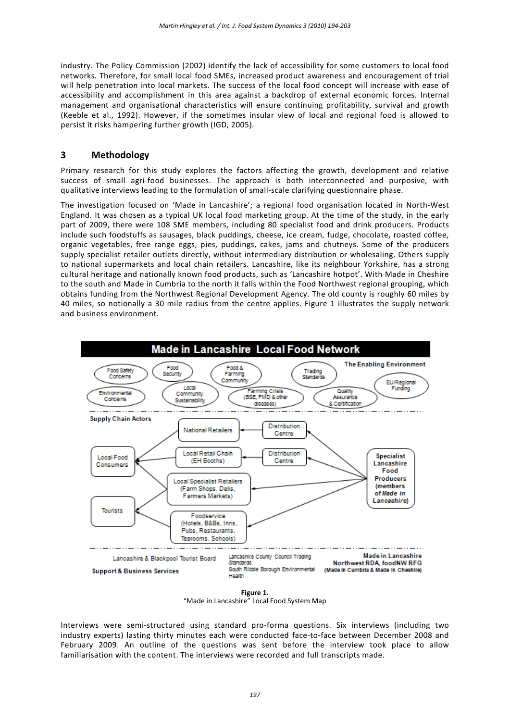industry. The Policy Commission (2002) identify the lack of accessibility for some customers to local food networks. Therefore, for small local food SMEs, increased product awareness and encouragement of trial will help penetration into local markets. The success of the local food concept will increase with ease of accessibility and accomplishment in this area against a backdrop of external economic forces. Internal management and organisational characteristics will ensure continuing profitability, survival and growth (Keeble et al., 1992). However, if the sometimes insular view of local and regional food is allowed to persist it risks hampering further growth (IGD, 2005).

# **3 Methodology**

Primary research for this study explores the factors affecting the growth, development and relative success of small agri-food businesses. The approach is both interconnected and purposive, with qualitative interviews leading to the formulation of small-scale clarifying questionnaire phase.

The investigation focused on 'Made in Lancashire'; a regional food organisation located in North-West England. It was chosen as a typical UK local food marketing group. At the time of the study, in the early part of 2009, there were 108 SME members, including 80 specialist food and drink producers. Products include such foodstuffs as sausages, black puddings, cheese, ice cream, fudge, chocolate, roasted coffee, organic vegetables, free range eggs, pies, puddings, cakes, jams and chutneys. Some of the producers supply specialist retailer outlets directly, without intermediary distribution or wholesaling. Others supply to national supermarkets and local chain retailers. Lancashire, like its neighbour Yorkshire, has a strong cultural heritage and nationally known food products, such as 'Lancashire hotpot'. With Made in Cheshire to the south and Made in Cumbria to the north it falls within the Food Northwest regional grouping, which obtains funding from the Northwest Regional Development Agency. The old county is roughly 60 miles by 40 miles, so notionally a 30 mile radius from the centre applies. Figure 1 illustrates the supply network and business environment.



"Made in Lancashire" Local Food System Map

Interviews were semi-structured using standard pro-forma questions. Six interviews (including two industry experts) lasting thirty minutes each were conducted face-to-face between December 2008 and February 2009. An outline of the questions was sent before the interview took place to allow familiarisation with the content. The interviews were recorded and full transcripts made.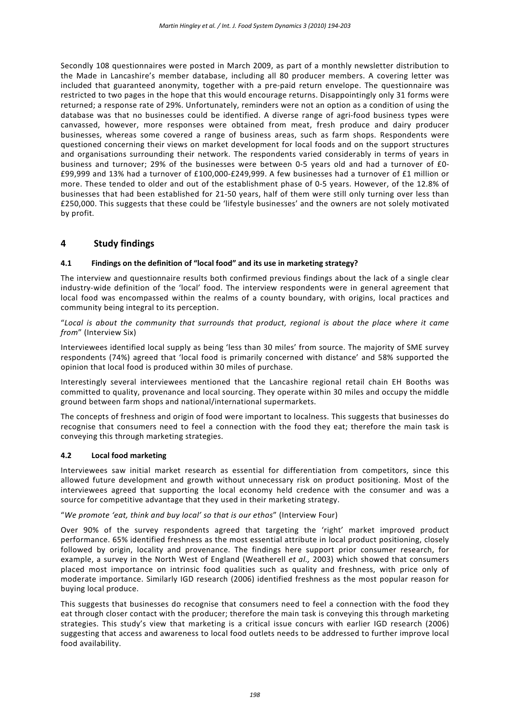Secondly 108 questionnaires were posted in March 2009, as part of a monthly newsletter distribution to the Made in Lancashire's member database, including all 80 producer members. A covering letter was included that guaranteed anonymity, together with a pre-paid return envelope. The questionnaire was restricted to two pages in the hope that this would encourage returns. Disappointingly only 31 forms were returned; a response rate of 29%. Unfortunately, reminders were not an option as a condition of using the database was that no businesses could be identified. A diverse range of agri-food business types were canvassed, however, more responses were obtained from meat, fresh produce and dairy producer businesses, whereas some covered a range of business areas, such as farm shops. Respondents were questioned concerning their views on market development for local foods and on the support structures and organisations surrounding their network. The respondents varied considerably in terms of years in business and turnover; 29% of the businesses were between 0-5 years old and had a turnover of £0- £99,999 and 13% had a turnover of £100,000-£249,999. A few businesses had a turnover of £1 million or more. These tended to older and out of the establishment phase of 0-5 years. However, of the 12.8% of businesses that had been established for 21-50 years, half of them were still only turning over less than £250,000. This suggests that these could be 'lifestyle businesses' and the owners are not solely motivated by profit.

# **4 Study findings**

# **4.1 Findings on the definition of "local food" and its use in marketing strategy?**

The interview and questionnaire results both confirmed previous findings about the lack of a single clear industry-wide definition of the 'local' food. The interview respondents were in general agreement that local food was encompassed within the realms of a county boundary, with origins, local practices and community being integral to its perception.

"*Local is about the community that surrounds that product, regional is about the place where it came from*" (Interview Six)

Interviewees identified local supply as being 'less than 30 miles' from source. The majority of SME survey respondents (74%) agreed that 'local food is primarily concerned with distance' and 58% supported the opinion that local food is produced within 30 miles of purchase.

Interestingly several interviewees mentioned that the Lancashire regional retail chain EH Booths was committed to quality, provenance and local sourcing. They operate within 30 miles and occupy the middle ground between farm shops and national/international supermarkets.

The concepts of freshness and origin of food were important to localness. This suggests that businesses do recognise that consumers need to feel a connection with the food they eat; therefore the main task is conveying this through marketing strategies.

#### **4.2 Local food marketing**

Interviewees saw initial market research as essential for differentiation from competitors, since this allowed future development and growth without unnecessary risk on product positioning. Most of the interviewees agreed that supporting the local economy held credence with the consumer and was a source for competitive advantage that they used in their marketing strategy.

"*We promote 'eat, think and buy local' so that is our ethos*" (Interview Four)

Over 90% of the survey respondents agreed that targeting the 'right' market improved product performance. 65% identified freshness as the most essential attribute in local product positioning, closely followed by origin, locality and provenance. The findings here support prior consumer research, for example, a survey in the North West of England (Weatherell *et al.,* 2003) which showed that consumers placed most importance on intrinsic food qualities such as quality and freshness, with price only of moderate importance. Similarly IGD research (2006) identified freshness as the most popular reason for buying local produce.

This suggests that businesses do recognise that consumers need to feel a connection with the food they eat through closer contact with the producer; therefore the main task is conveying this through marketing strategies. This study's view that marketing is a critical issue concurs with earlier IGD research (2006) suggesting that access and awareness to local food outlets needs to be addressed to further improve local food availability.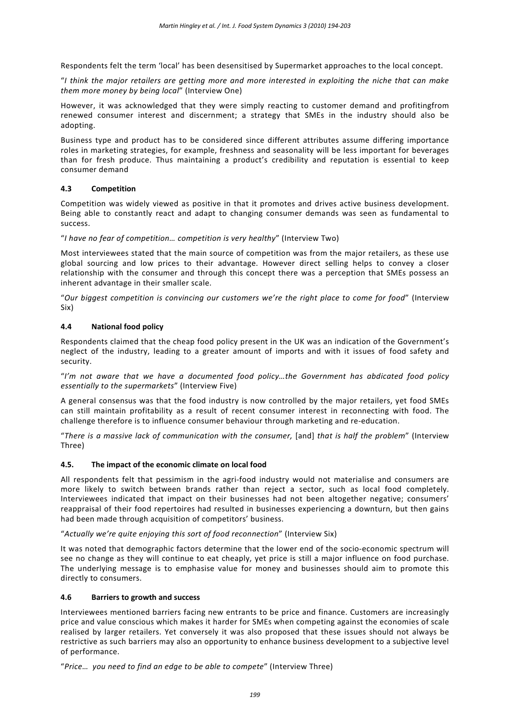Respondents felt the term 'local' has been desensitised by Supermarket approaches to the local concept.

"*I think the major retailers are getting more and more interested in exploiting the niche that can make them more money by being local*" (Interview One)

However, it was acknowledged that they were simply reacting to customer demand and profitingfrom renewed consumer interest and discernment; a strategy that SMEs in the industry should also be adopting.

Business type and product has to be considered since different attributes assume differing importance roles in marketing strategies, for example, freshness and seasonality will be less important for beverages than for fresh produce. Thus maintaining a product's credibility and reputation is essential to keep consumer demand

#### **4.3 Competition**

Competition was widely viewed as positive in that it promotes and drives active business development. Being able to constantly react and adapt to changing consumer demands was seen as fundamental to success.

"*I have no fear of competition… competition is very healthy*" (Interview Two)

Most interviewees stated that the main source of competition was from the major retailers, as these use global sourcing and low prices to their advantage. However direct selling helps to convey a closer relationship with the consumer and through this concept there was a perception that SMEs possess an inherent advantage in their smaller scale.

"*Our biggest competition is convincing our customers we're the right place to come for food*" (Interview Six)

# **4.4 National food policy**

Respondents claimed that the cheap food policy present in the UK was an indication of the Government's neglect of the industry, leading to a greater amount of imports and with it issues of food safety and security.

"*I'm not aware that we have a documented food policy…the Government has abdicated food policy essentially to the supermarkets*" (Interview Five)

A general consensus was that the food industry is now controlled by the major retailers, yet food SMEs can still maintain profitability as a result of recent consumer interest in reconnecting with food. The challenge therefore is to influence consumer behaviour through marketing and re-education.

"*There is a massive lack of communication with the consumer,* [and] *that is half the problem*" (Interview Three)

#### **4.5. The impact of the economic climate on local food**

All respondents felt that pessimism in the agri-food industry would not materialise and consumers are more likely to switch between brands rather than reject a sector, such as local food completely. Interviewees indicated that impact on their businesses had not been altogether negative; consumers' reappraisal of their food repertoires had resulted in businesses experiencing a downturn, but then gains had been made through acquisition of competitors' business.

"*Actually we're quite enjoying this sort of food reconnection*" (Interview Six)

It was noted that demographic factors determine that the lower end of the socio-economic spectrum will see no change as they will continue to eat cheaply, yet price is still a major influence on food purchase. The underlying message is to emphasise value for money and businesses should aim to promote this directly to consumers.

#### **4.6 Barriers to growth and success**

Interviewees mentioned barriers facing new entrants to be price and finance. Customers are increasingly price and value conscious which makes it harder for SMEs when competing against the economies of scale realised by larger retailers. Yet conversely it was also proposed that these issues should not always be restrictive as such barriers may also an opportunity to enhance business development to a subjective level of performance.

"*Price… you need to find an edge to be able to compete*" (Interview Three)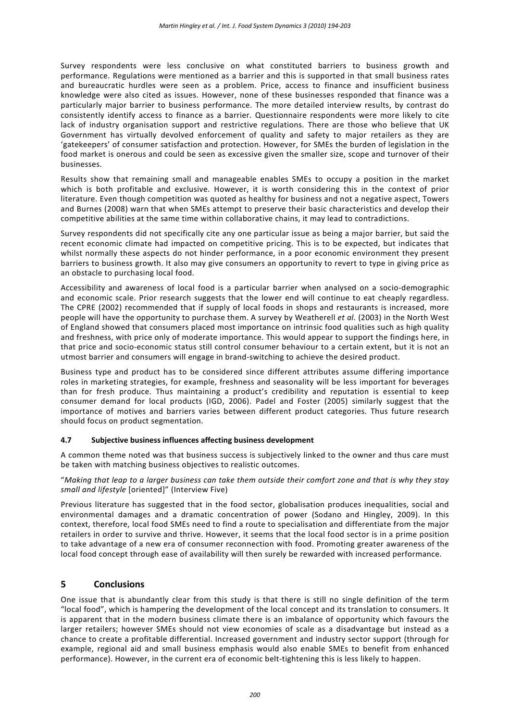Survey respondents were less conclusive on what constituted barriers to business growth and performance. Regulations were mentioned as a barrier and this is supported in that small business rates and bureaucratic hurdles were seen as a problem. Price, access to finance and insufficient business knowledge were also cited as issues. However, none of these businesses responded that finance was a particularly major barrier to business performance. The more detailed interview results, by contrast do consistently identify access to finance as a barrier. Questionnaire respondents were more likely to cite lack of industry organisation support and restrictive regulations. There are those who believe that UK Government has virtually devolved enforcement of quality and safety to major retailers as they are 'gatekeepers' of consumer satisfaction and protection. However, for SMEs the burden of legislation in the food market is onerous and could be seen as excessive given the smaller size, scope and turnover of their businesses.

Results show that remaining small and manageable enables SMEs to occupy a position in the market which is both profitable and exclusive. However, it is worth considering this in the context of prior literature. Even though competition was quoted as healthy for business and not a negative aspect, Towers and Burnes (2008) warn that when SMEs attempt to preserve their basic characteristics and develop their competitive abilities at the same time within collaborative chains, it may lead to contradictions.

Survey respondents did not specifically cite any one particular issue as being a major barrier, but said the recent economic climate had impacted on competitive pricing. This is to be expected, but indicates that whilst normally these aspects do not hinder performance, in a poor economic environment they present barriers to business growth. It also may give consumers an opportunity to revert to type in giving price as an obstacle to purchasing local food.

Accessibility and awareness of local food is a particular barrier when analysed on a socio-demographic and economic scale. Prior research suggests that the lower end will continue to eat cheaply regardless. The CPRE (2002) recommended that if supply of local foods in shops and restaurants is increased, more people will have the opportunity to purchase them. A survey by Weatherell *et al.* (2003) in the North West of England showed that consumers placed most importance on intrinsic food qualities such as high quality and freshness, with price only of moderate importance. This would appear to support the findings here, in that price and socio-economic status still control consumer behaviour to a certain extent, but it is not an utmost barrier and consumers will engage in brand-switching to achieve the desired product.

Business type and product has to be considered since different attributes assume differing importance roles in marketing strategies, for example, freshness and seasonality will be less important for beverages than for fresh produce. Thus maintaining a product's credibility and reputation is essential to keep consumer demand for local products (IGD, 2006). Padel and Foster (2005) similarly suggest that the importance of motives and barriers varies between different product categories. Thus future research should focus on product segmentation.

#### **4.7 Subjective business influences affecting business development**

A common theme noted was that business success is subjectively linked to the owner and thus care must be taken with matching business objectives to realistic outcomes.

"*Making that leap to a larger business can take them outside their comfort zone and that is why they stay small and lifestyle* [oriented]" (Interview Five)

Previous literature has suggested that in the food sector, globalisation produces inequalities, social and environmental damages and a dramatic concentration of power (Sodano and Hingley, 2009). In this context, therefore, local food SMEs need to find a route to specialisation and differentiate from the major retailers in order to survive and thrive. However, it seems that the local food sector is in a prime position to take advantage of a new era of consumer reconnection with food. Promoting greater awareness of the local food concept through ease of availability will then surely be rewarded with increased performance.

# **5 Conclusions**

One issue that is abundantly clear from this study is that there is still no single definition of the term "local food", which is hampering the development of the local concept and its translation to consumers. It is apparent that in the modern business climate there is an imbalance of opportunity which favours the larger retailers; however SMEs should not view economies of scale as a disadvantage but instead as a chance to create a profitable differential. Increased government and industry sector support (through for example, regional aid and small business emphasis would also enable SMEs to benefit from enhanced performance). However, in the current era of economic belt-tightening this is less likely to happen.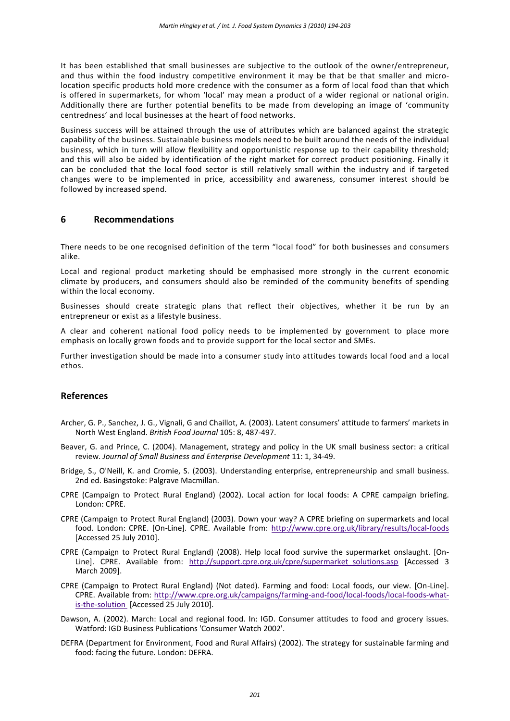It has been established that small businesses are subjective to the outlook of the owner/entrepreneur, and thus within the food industry competitive environment it may be that be that smaller and microlocation specific products hold more credence with the consumer as a form of local food than that which is offered in supermarkets, for whom 'local' may mean a product of a wider regional or national origin. Additionally there are further potential benefits to be made from developing an image of 'community centredness' and local businesses at the heart of food networks.

Business success will be attained through the use of attributes which are balanced against the strategic capability of the business. Sustainable business models need to be built around the needs of the individual business, which in turn will allow flexibility and opportunistic response up to their capability threshold; and this will also be aided by identification of the right market for correct product positioning. Finally it can be concluded that the local food sector is still relatively small within the industry and if targeted changes were to be implemented in price, accessibility and awareness, consumer interest should be followed by increased spend.

# **6 Recommendations**

There needs to be one recognised definition of the term "local food" for both businesses and consumers alike.

Local and regional product marketing should be emphasised more strongly in the current economic climate by producers, and consumers should also be reminded of the community benefits of spending within the local economy.

Businesses should create strategic plans that reflect their objectives, whether it be run by an entrepreneur or exist as a lifestyle business.

A clear and coherent national food policy needs to be implemented by government to place more emphasis on locally grown foods and to provide support for the local sector and SMEs.

Further investigation should be made into a consumer study into attitudes towards local food and a local ethos.

#### **References**

- Archer, G. P., Sanchez, J. G., Vignali, G and Chaillot, A. (2003). Latent consumers' attitude to farmers' markets in North West England. *British Food Journal* 105: 8, 487-497.
- Beaver, G. and Prince, C. (2004). Management, strategy and policy in the UK small business sector: a critical review. *Journal of Small Business and Enterprise Development* 11: 1, 34-49.
- Bridge, S., O'Neill, K. and Cromie, S. (2003). Understanding enterprise, entrepreneurship and small business. 2nd ed. Basingstoke: Palgrave Macmillan.
- CPRE (Campaign to Protect Rural England) (2002). Local action for local foods: A CPRE campaign briefing. London: CPRE.
- CPRE (Campaign to Protect Rural England) (2003). Down your way? A CPRE briefing on supermarkets and local food. London: CPRE. [On-Line]. CPRE. Available from:<http://www.cpre.org.uk/library/results/local-foods> [Accessed 25 July 2010].
- CPRE (Campaign to Protect Rural England) (2008). Help local food survive the supermarket onslaught. [On-Line]. CPRE. Available from: http://support.cpre.org.uk/cpre/supermarket solutions.asp [Accessed 3 March 2009].
- CPRE (Campaign to Protect Rural England) (Not dated). Farming and food: Local foods, our view. [On-Line]. CPRE. Available from: [http://www.cpre.org.uk/campaigns/farming-and-food/local-foods/local-foods-what](http://www.cpre.org.uk/campaigns/farming-and-food/local-foods/local-foods-what-is-the-solution)[is-the-solution](http://www.cpre.org.uk/campaigns/farming-and-food/local-foods/local-foods-what-is-the-solution) [Accessed 25 July 2010].
- Dawson, A. (2002). March: Local and regional food. In: IGD. Consumer attitudes to food and grocery issues. Watford: IGD Business Publications 'Consumer Watch 2002'.
- DEFRA (Department for Environment, Food and Rural Affairs) (2002). The strategy for sustainable farming and food: facing the future. London: DEFRA.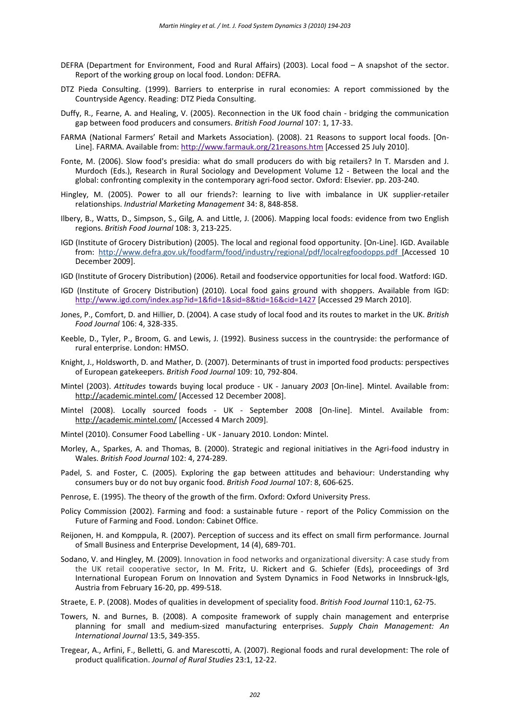- DEFRA (Department for Environment, Food and Rural Affairs) (2003). Local food A snapshot of the sector. Report of the working group on local food. London: DEFRA.
- DTZ Pieda Consulting. (1999). Barriers to enterprise in rural economies: A report commissioned by the Countryside Agency. Reading: DTZ Pieda Consulting.
- Duffy, R., Fearne, A. and Healing, V. (2005). Reconnection in the UK food chain bridging the communication gap between food producers and consumers. *British Food Journal* 107: 1, 17-33.
- FARMA (National Farmers' Retail and Markets Association). (2008). 21 Reasons to support local foods. [On-Line]. FARMA. Available from[: http://www.farmauk.org/21reasons.htm](http://www.farmauk.org/21reasons.htm) [Accessed 25 July 2010].
- Fonte, M. (2006). Slow food's presidia: what do small producers do with big retailers? In T. Marsden and J. Murdoch (Eds.), Research in Rural Sociology and Development Volume 12 - Between the local and the global: confronting complexity in the contemporary agri-food sector. Oxford: Elsevier. pp. 203-240.
- Hingley, M. (2005). Power to all our friends?: learning to live with imbalance in UK supplier-retailer relationships. *Industrial Marketing Management* 34: 8, 848-858.
- Ilbery, B., Watts, D., Simpson, S., Gilg, A. and Little, J. (2006). Mapping local foods: evidence from two English regions. *British Food Journal* 108: 3, 213-225.
- IGD (Institute of Grocery Distribution) (2005). The local and regional food opportunity. [On-Line]. IGD. Available from: http://www.defra.gov.uk/foodfarm/food/industry/regional/pdf/localregfoodopps.pdf [Accessed 10 December 2009].
- IGD (Institute of Grocery Distribution) (2006). Retail and foodservice opportunities for local food. Watford: IGD.
- IGD (Institute of Grocery Distribution) (2010). Local food gains ground with shoppers. Available from IGD: <http://www.igd.com/index.asp?id=1&fid=1&sid=8&tid=16&cid=1427> [Accessed 29 March 2010].
- Jones, P., Comfort, D. and Hillier, D. (2004). A case study of local food and its routes to market in the UK. *British Food Journal* 106: 4, 328-335.
- Keeble, D., Tyler, P., Broom, G. and Lewis, J. (1992). Business success in the countryside: the performance of rural enterprise. London: HMSO.
- Knight, J., Holdsworth, D. and Mather, D. (2007). Determinants of trust in imported food products: perspectives of European gatekeepers. *British Food Journal* 109: 10, 792-804.
- Mintel (2003). *Attitudes* towards buying local produce UK January *2003* [On-line]. Mintel. Available from: http://academic.mintel.com/ [Accessed 12 December 2008].
- Mintel (2008). Locally sourced foods UK September 2008 [On-line]. Mintel. Available from: http://academic.mintel.com/ [Accessed 4 March 2009].
- Mintel (2010). Consumer Food Labelling UK January 2010. London: Mintel.
- Morley, A., Sparkes, A. and Thomas, B. (2000). Strategic and regional initiatives in the Agri-food industry in Wales. *British Food Journal* 102: 4, 274-289.
- Padel, S. and Foster, C. (2005). Exploring the gap between attitudes and behaviour: Understanding why consumers buy or do not buy organic food. *British Food Journal* 107: 8, 606-625.
- Penrose, E. (1995). The theory of the growth of the firm. Oxford: Oxford University Press.
- Policy Commission (2002). Farming and food: a sustainable future report of the Policy Commission on the Future of Farming and Food. London: Cabinet Office.
- Reijonen, H. and Komppula, R. (2007). Perception of success and its effect on small firm performance. Journal of Small Business and Enterprise Development, 14 (4), 689-701.
- Sodano, V. and Hingley, M. (2009). Innovation in food networks and organizational diversity: A case study from the UK retail cooperative sector, In M. Fritz, U. Rickert and G. Schiefer (Eds), proceedings of 3rd International European Forum on Innovation and System Dynamics in Food Networks in Innsbruck-Igls, Austria from February 16-20, pp. 499-518.
- Straete, E. P. (2008). Modes of qualities in development of speciality food. *British Food Journal* 110:1, 62-75.
- Towers, N. and Burnes, B. (2008). A composite framework of supply chain management and enterprise planning for small and medium-sized manufacturing enterprises. *Supply Chain Management: An International Journal* 13:5, 349-355.
- Tregear, A., Arfini, F., Belletti, G. and Marescotti, A. (2007). Regional foods and rural development: The role of product qualification. *Journal of Rural Studies* 23:1, 12-22.